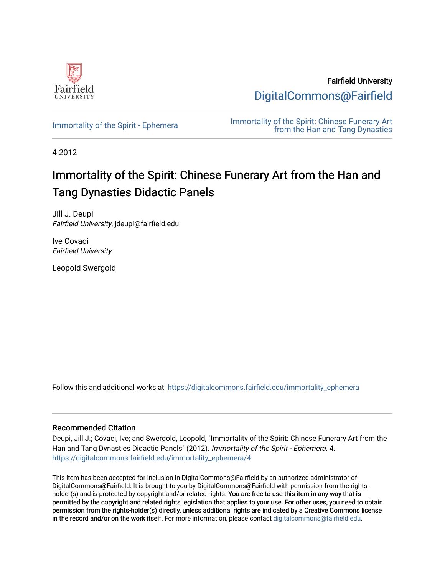

Fairfield University [DigitalCommons@Fairfield](https://digitalcommons.fairfield.edu/) 

[Immortality of the Spirit - Ephemera](https://digitalcommons.fairfield.edu/immortality_ephemera) **Immortality of the Spirit: Chinese Funerary Art** [from the Han and Tang Dynasties](https://digitalcommons.fairfield.edu/immortality) 

4-2012

# Immortality of the Spirit: Chinese Funerary Art from the Han and Tang Dynasties Didactic Panels

Jill J. Deupi Fairfield University, jdeupi@fairfield.edu

Ive Covaci Fairfield University

Leopold Swergold

Follow this and additional works at: [https://digitalcommons.fairfield.edu/immortality\\_ephemera](https://digitalcommons.fairfield.edu/immortality_ephemera?utm_source=digitalcommons.fairfield.edu%2Fimmortality_ephemera%2F4&utm_medium=PDF&utm_campaign=PDFCoverPages) 

# Recommended Citation

Deupi, Jill J.; Covaci, Ive; and Swergold, Leopold, "Immortality of the Spirit: Chinese Funerary Art from the Han and Tang Dynasties Didactic Panels" (2012). Immortality of the Spirit - Ephemera. 4. [https://digitalcommons.fairfield.edu/immortality\\_ephemera/4](https://digitalcommons.fairfield.edu/immortality_ephemera/4?utm_source=digitalcommons.fairfield.edu%2Fimmortality_ephemera%2F4&utm_medium=PDF&utm_campaign=PDFCoverPages)

This item has been accepted for inclusion in DigitalCommons@Fairfield by an authorized administrator of DigitalCommons@Fairfield. It is brought to you by DigitalCommons@Fairfield with permission from the rightsholder(s) and is protected by copyright and/or related rights. You are free to use this item in any way that is permitted by the copyright and related rights legislation that applies to your use. For other uses, you need to obtain permission from the rights-holder(s) directly, unless additional rights are indicated by a Creative Commons license in the record and/or on the work itself. For more information, please contact [digitalcommons@fairfield.edu.](mailto:digitalcommons@fairfield.edu)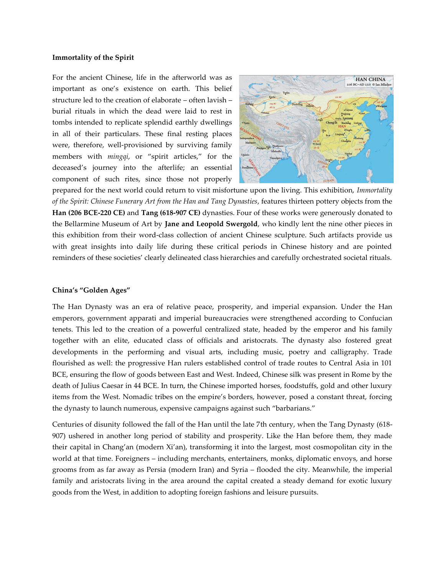### **Immortality of the Spirit**

For the ancient Chinese, life in the afterworld was as important as one's existence on earth. This belief structure led to the creation of elaborate – often lavish – burial rituals in which the dead were laid to rest in tombs intended to replicate splendid earthly dwellings in all of their particulars. These final resting places were, therefore, well-provisioned by surviving family members with *mingqi*, or "spirit articles," for the deceased's journey into the afterlife; an essential component of such rites, since those not properly



prepared for the next world could return to visit misfortune upon the living. This exhibition, *Immortality of the Spirit: Chinese Funerary Art from the Han and Tang Dynasties*, features thirteen pottery objects from the **Han (206 BCE-220 CE)** and **Tang (618-907 CE)** dynasties. Four of these works were generously donated to the Bellarmine Museum of Art by **Jane and Leopold Swergold**, who kindly lent the nine other pieces in this exhibition from their word-class collection of ancient Chinese sculpture. Such artifacts provide us with great insights into daily life during these critical periods in Chinese history and are pointed reminders of these societies' clearly delineated class hierarchies and carefully orchestrated societal rituals.

#### **China's "Golden Ages"**

The Han Dynasty was an era of relative peace, prosperity, and imperial expansion. Under the Han emperors, government apparati and imperial bureaucracies were strengthened according to Confucian tenets. This led to the creation of a powerful centralized state, headed by the emperor and his family together with an elite, educated class of officials and aristocrats. The dynasty also fostered great developments in the performing and visual arts, including music, poetry and calligraphy. Trade flourished as well: the progressive Han rulers established control of trade routes to Central Asia in 101 BCE, ensuring the flow of goods between East and West. Indeed, Chinese silk was present in Rome by the death of Julius Caesar in 44 BCE. In turn, the Chinese imported horses, foodstuffs, gold and other luxury items from the West. Nomadic tribes on the empire's borders, however, posed a constant threat, forcing the dynasty to launch numerous, expensive campaigns against such "barbarians."

Centuries of disunity followed the fall of the Han until the late 7th century, when the Tang Dynasty (618- 907) ushered in another long period of stability and prosperity. Like the Han before them, they made their capital in Chang'an (modern Xi'an), transforming it into the largest, most cosmopolitan city in the world at that time. Foreigners – including merchants, entertainers, monks, diplomatic envoys, and horse grooms from as far away as Persia (modern Iran) and Syria – flooded the city. Meanwhile, the imperial family and aristocrats living in the area around the capital created a steady demand for exotic luxury goods from the West, in addition to adopting foreign fashions and leisure pursuits.